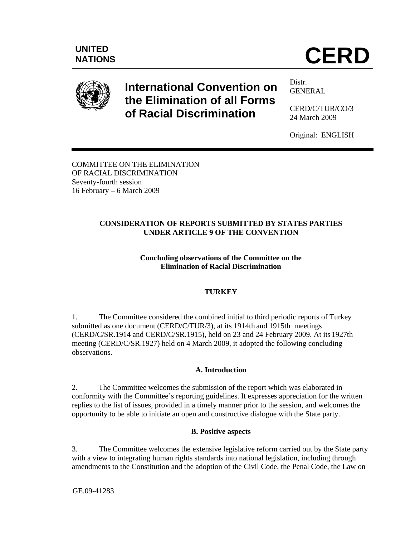# NATIONS **CERD**



# **International Convention on the Elimination of all Forms of Racial Discrimination**

Distr. GENERAL

CERD/C/TUR/CO/3 24 March 2009

Original: ENGLISH

COMMITTEE ON THE ELIMINATION OF RACIAL DISCRIMINATION Seventy-fourth session 16 February – 6 March 2009

## **CONSIDERATION OF REPORTS SUBMITTED BY STATES PARTIES UNDER ARTICLE 9 OF THE CONVENTION**

### **Concluding observations of the Committee on the Elimination of Racial Discrimination**

# **TURKEY**

1. The Committee considered the combined initial to third periodic reports of Turkey submitted as one document (CERD/C/TUR/3), at its 1914th and 1915th meetings (CERD/C/SR.1914 and CERD/C/SR.1915), held on 23 and 24 February 2009. At its 1927th meeting (CERD/C/SR.1927) held on 4 March 2009, it adopted the following concluding observations.

# **A. Introduction**

2. The Committee welcomes the submission of the report which was elaborated in conformity with the Committee's reporting guidelines. It expresses appreciation for the written replies to the list of issues, provided in a timely manner prior to the session, and welcomes the opportunity to be able to initiate an open and constructive dialogue with the State party.

# **B. Positive aspects**

3. The Committee welcomes the extensive legislative reform carried out by the State party with a view to integrating human rights standards into national legislation, including through amendments to the Constitution and the adoption of the Civil Code, the Penal Code, the Law on

GE.09-41283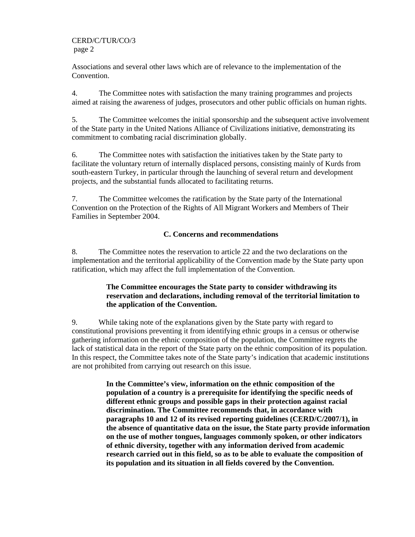CERD/C/TUR/CO/3 page 2

Associations and several other laws which are of relevance to the implementation of the Convention.

4. The Committee notes with satisfaction the many training programmes and projects aimed at raising the awareness of judges, prosecutors and other public officials on human rights.

5. The Committee welcomes the initial sponsorship and the subsequent active involvement of the State party in the United Nations Alliance of Civilizations initiative, demonstrating its commitment to combating racial discrimination globally.

6. The Committee notes with satisfaction the initiatives taken by the State party to facilitate the voluntary return of internally displaced persons, consisting mainly of Kurds from south-eastern Turkey, in particular through the launching of several return and development projects, and the substantial funds allocated to facilitating returns.

7. The Committee welcomes the ratification by the State party of the International Convention on the Protection of the Rights of All Migrant Workers and Members of Their Families in September 2004.

#### **C. Concerns and recommendations**

8. The Committee notes the reservation to article 22 and the two declarations on the implementation and the territorial applicability of the Convention made by the State party upon ratification, which may affect the full implementation of the Convention.

#### **The Committee encourages the State party to consider withdrawing its reservation and declarations, including removal of the territorial limitation to the application of the Convention.**

9. While taking note of the explanations given by the State party with regard to constitutional provisions preventing it from identifying ethnic groups in a census or otherwise gathering information on the ethnic composition of the population, the Committee regrets the lack of statistical data in the report of the State party on the ethnic composition of its population. In this respect, the Committee takes note of the State party's indication that academic institutions are not prohibited from carrying out research on this issue.

> **In the Committee's view, information on the ethnic composition of the population of a country is a prerequisite for identifying the specific needs of different ethnic groups and possible gaps in their protection against racial discrimination. The Committee recommends that, in accordance with paragraphs 10 and 12 of its revised reporting guidelines (CERD/C/2007/1), in the absence of quantitative data on the issue, the State party provide information on the use of mother tongues, languages commonly spoken, or other indicators of ethnic diversity, together with any information derived from academic research carried out in this field, so as to be able to evaluate the composition of its population and its situation in all fields covered by the Convention.**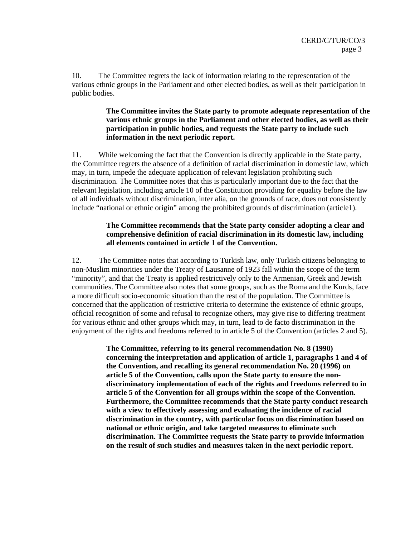10. The Committee regrets the lack of information relating to the representation of the various ethnic groups in the Parliament and other elected bodies, as well as their participation in public bodies.

#### **The Committee invites the State party to promote adequate representation of the various ethnic groups in the Parliament and other elected bodies, as well as their participation in public bodies, and requests the State party to include such information in the next periodic report.**

11. While welcoming the fact that the Convention is directly applicable in the State party, the Committee regrets the absence of a definition of racial discrimination in domestic law, which may, in turn, impede the adequate application of relevant legislation prohibiting such discrimination. The Committee notes that this is particularly important due to the fact that the relevant legislation, including article 10 of the Constitution providing for equality before the law of all individuals without discrimination, inter alia, on the grounds of race, does not consistently include "national or ethnic origin" among the prohibited grounds of discrimination (article1).

#### **The Committee recommends that the State party consider adopting a clear and comprehensive definition of racial discrimination in its domestic law, including all elements contained in article 1 of the Convention.**

12. The Committee notes that according to Turkish law, only Turkish citizens belonging to non-Muslim minorities under the Treaty of Lausanne of 1923 fall within the scope of the term "minority", and that the Treaty is applied restrictively only to the Armenian, Greek and Jewish communities. The Committee also notes that some groups, such as the Roma and the Kurds, face a more difficult socio-economic situation than the rest of the population. The Committee is concerned that the application of restrictive criteria to determine the existence of ethnic groups, official recognition of some and refusal to recognize others, may give rise to differing treatment for various ethnic and other groups which may, in turn, lead to de facto discrimination in the enjoyment of the rights and freedoms referred to in article 5 of the Convention (articles 2 and 5).

> **The Committee, referring to its general recommendation No. 8 (1990) concerning the interpretation and application of article 1, paragraphs 1 and 4 of the Convention, and recalling its general recommendation No. 20 (1996) on article 5 of the Convention, calls upon the State party to ensure the nondiscriminatory implementation of each of the rights and freedoms referred to in article 5 of the Convention for all groups within the scope of the Convention. Furthermore, the Committee recommends that the State party conduct research with a view to effectively assessing and evaluating the incidence of racial discrimination in the country, with particular focus on discrimination based on national or ethnic origin, and take targeted measures to eliminate such discrimination. The Committee requests the State party to provide information on the result of such studies and measures taken in the next periodic report.**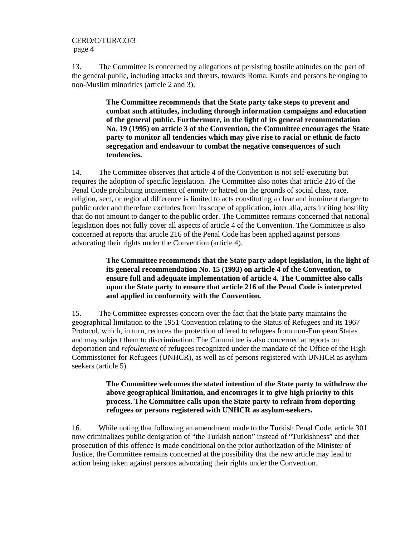#### CERD/C/TUR/CO/3 page 4

13. The Committee is concerned by allegations of persisting hostile attitudes on the part of the general public, including attacks and threats, towards Roma, Kurds and persons belonging to non-Muslim minorities (article 2 and 3).

> **The Committee recommends that the State party take steps to prevent and combat such attitudes, including through information campaigns and education of the general public. Furthermore, in the light of its general recommendation No. 19 (1995) on article 3 of the Convention, the Committee encourages the State party to monitor all tendencies which may give rise to racial or ethnic de facto segregation and endeavour to combat the negative consequences of such tendencies.**

14. The Committee observes that article 4 of the Convention is not self-executing but requires the adoption of specific legislation. The Committee also notes that article 216 of the Penal Code prohibiting incitement of enmity or hatred on the grounds of social class, race, religion, sect, or regional difference is limited to acts constituting a clear and imminent danger to public order and therefore excludes from its scope of application, inter alia, acts inciting hostility that do not amount to danger to the public order. The Committee remains concerned that national legislation does not fully cover all aspects of article 4 of the Convention. The Committee is also concerned at reports that article 216 of the Penal Code has been applied against persons advocating their rights under the Convention (article 4).

> **The Committee recommends that the State party adopt legislation, in the light of its general recommendation No. 15 (1993) on article 4 of the Convention, to ensure full and adequate implementation of article 4. The Committee also calls upon the State party to ensure that article 216 of the Penal Code is interpreted and applied in conformity with the Convention.**

15. The Committee expresses concern over the fact that the State party maintains the geographical limitation to the 1951 Convention relating to the Status of Refugees and its 1967 Protocol, which, in turn, reduces the protection offered to refugees from non-European States and may subject them to discrimination. The Committee is also concerned at reports on deportation and *refoulement* of refugees recognized under the mandate of the Office of the High Commissioner for Refugees (UNHCR), as well as of persons registered with UNHCR as asylumseekers (article 5).

> **The Committee welcomes the stated intention of the State party to withdraw the above geographical limitation, and encourages it to give high priority to this process. The Committee calls upon the State party to refrain from deporting refugees or persons registered with UNHCR as asylum-seekers.**

16. While noting that following an amendment made to the Turkish Penal Code, article 301 now criminalizes public denigration of "the Turkish nation" instead of "Turkishness" and that prosecution of this offence is made conditional on the prior authorization of the Minister of Justice, the Committee remains concerned at the possibility that the new article may lead to action being taken against persons advocating their rights under the Convention.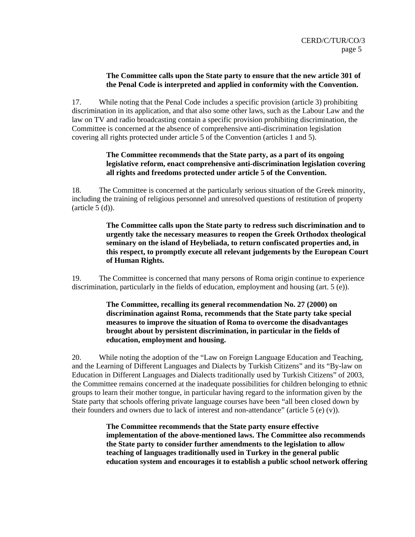#### **The Committee calls upon the State party to ensure that the new article 301 of the Penal Code is interpreted and applied in conformity with the Convention.**

17. While noting that the Penal Code includes a specific provision (article 3) prohibiting discrimination in its application, and that also some other laws, such as the Labour Law and the law on TV and radio broadcasting contain a specific provision prohibiting discrimination, the Committee is concerned at the absence of comprehensive anti-discrimination legislation covering all rights protected under article 5 of the Convention (articles 1 and 5).

#### **The Committee recommends that the State party, as a part of its ongoing legislative reform, enact comprehensive anti-discrimination legislation covering all rights and freedoms protected under article 5 of the Convention.**

18. The Committee is concerned at the particularly serious situation of the Greek minority, including the training of religious personnel and unresolved questions of restitution of property  $(\text{article } 5 \text{ (d)}).$ 

> **The Committee calls upon the State party to redress such discrimination and to urgently take the necessary measures to reopen the Greek Orthodox theological seminary on the island of Heybeliada, to return confiscated properties and, in this respect, to promptly execute all relevant judgements by the European Court of Human Rights.**

19. The Committee is concerned that many persons of Roma origin continue to experience discrimination, particularly in the fields of education, employment and housing (art. 5 (e)).

> **The Committee, recalling its general recommendation No. 27 (2000) on discrimination against Roma, recommends that the State party take special measures to improve the situation of Roma to overcome the disadvantages brought about by persistent discrimination, in particular in the fields of education, employment and housing.**

20. While noting the adoption of the "Law on Foreign Language Education and Teaching, and the Learning of Different Languages and Dialects by Turkish Citizens" and its "By-law on Education in Different Languages and Dialects traditionally used by Turkish Citizens" of 2003, the Committee remains concerned at the inadequate possibilities for children belonging to ethnic groups to learn their mother tongue, in particular having regard to the information given by the State party that schools offering private language courses have been "all been closed down by their founders and owners due to lack of interest and non-attendance" (article 5 (e) (v)).

> **The Committee recommends that the State party ensure effective implementation of the above-mentioned laws. The Committee also recommends the State party to consider further amendments to the legislation to allow teaching of languages traditionally used in Turkey in the general public education system and encourages it to establish a public school network offering**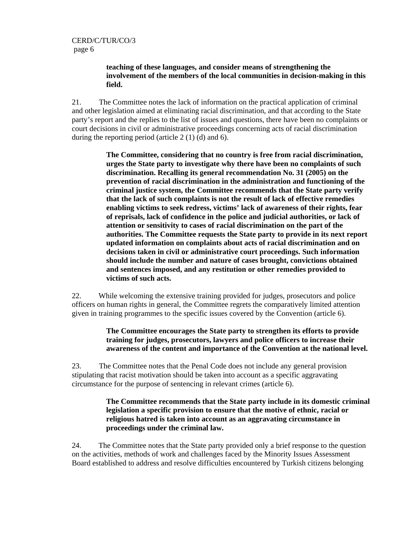#### **teaching of these languages, and consider means of strengthening the involvement of the members of the local communities in decision-making in this field.**

21. The Committee notes the lack of information on the practical application of criminal and other legislation aimed at eliminating racial discrimination, and that according to the State party's report and the replies to the list of issues and questions, there have been no complaints or court decisions in civil or administrative proceedings concerning acts of racial discrimination during the reporting period (article 2 (1) (d) and 6).

> **The Committee, considering that no country is free from racial discrimination, urges the State party to investigate why there have been no complaints of such discrimination. Recalling its general recommendation No. 31 (2005) on the prevention of racial discrimination in the administration and functioning of the criminal justice system, the Committee recommends that the State party verify that the lack of such complaints is not the result of lack of effective remedies enabling victims to seek redress, victims' lack of awareness of their rights, fear of reprisals, lack of confidence in the police and judicial authorities, or lack of attention or sensitivity to cases of racial discrimination on the part of the authorities. The Committee requests the State party to provide in its next report updated information on complaints about acts of racial discrimination and on decisions taken in civil or administrative court proceedings. Such information should include the number and nature of cases brought, convictions obtained and sentences imposed, and any restitution or other remedies provided to victims of such acts.**

22. While welcoming the extensive training provided for judges, prosecutors and police officers on human rights in general, the Committee regrets the comparatively limited attention given in training programmes to the specific issues covered by the Convention (article 6).

#### **The Committee encourages the State party to strengthen its efforts to provide training for judges, prosecutors, lawyers and police officers to increase their awareness of the content and importance of the Convention at the national level.**

23. The Committee notes that the Penal Code does not include any general provision stipulating that racist motivation should be taken into account as a specific aggravating circumstance for the purpose of sentencing in relevant crimes (article 6).

#### **The Committee recommends that the State party include in its domestic criminal legislation a specific provision to ensure that the motive of ethnic, racial or religious hatred is taken into account as an aggravating circumstance in proceedings under the criminal law.**

24. The Committee notes that the State party provided only a brief response to the question on the activities, methods of work and challenges faced by the Minority Issues Assessment Board established to address and resolve difficulties encountered by Turkish citizens belonging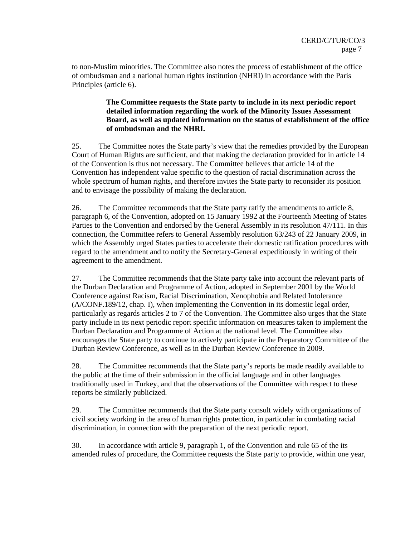to non-Muslim minorities. The Committee also notes the process of establishment of the office of ombudsman and a national human rights institution (NHRI) in accordance with the Paris Principles (article 6).

#### **The Committee requests the State party to include in its next periodic report detailed information regarding the work of the Minority Issues Assessment Board, as well as updated information on the status of establishment of the office of ombudsman and the NHRI.**

25. The Committee notes the State party's view that the remedies provided by the European Court of Human Rights are sufficient, and that making the declaration provided for in article 14 of the Convention is thus not necessary. The Committee believes that article 14 of the Convention has independent value specific to the question of racial discrimination across the whole spectrum of human rights, and therefore invites the State party to reconsider its position and to envisage the possibility of making the declaration.

26. The Committee recommends that the State party ratify the amendments to article 8, paragraph 6, of the Convention, adopted on 15 January 1992 at the Fourteenth Meeting of States Parties to the Convention and endorsed by the General Assembly in its resolution 47/111. In this connection, the Committee refers to General Assembly resolution 63/243 of 22 January 2009, in which the Assembly urged States parties to accelerate their domestic ratification procedures with regard to the amendment and to notify the Secretary-General expeditiously in writing of their agreement to the amendment.

27. The Committee recommends that the State party take into account the relevant parts of the Durban Declaration and Programme of Action, adopted in September 2001 by the World Conference against Racism, Racial Discrimination, Xenophobia and Related Intolerance (A/CONF.189/12, chap. I), when implementing the Convention in its domestic legal order, particularly as regards articles 2 to 7 of the Convention. The Committee also urges that the State party include in its next periodic report specific information on measures taken to implement the Durban Declaration and Programme of Action at the national level. The Committee also encourages the State party to continue to actively participate in the Preparatory Committee of the Durban Review Conference, as well as in the Durban Review Conference in 2009.

28. The Committee recommends that the State party's reports be made readily available to the public at the time of their submission in the official language and in other languages traditionally used in Turkey, and that the observations of the Committee with respect to these reports be similarly publicized.

29. The Committee recommends that the State party consult widely with organizations of civil society working in the area of human rights protection, in particular in combating racial discrimination, in connection with the preparation of the next periodic report.

30. In accordance with article 9, paragraph 1, of the Convention and rule 65 of the its amended rules of procedure, the Committee requests the State party to provide, within one year,